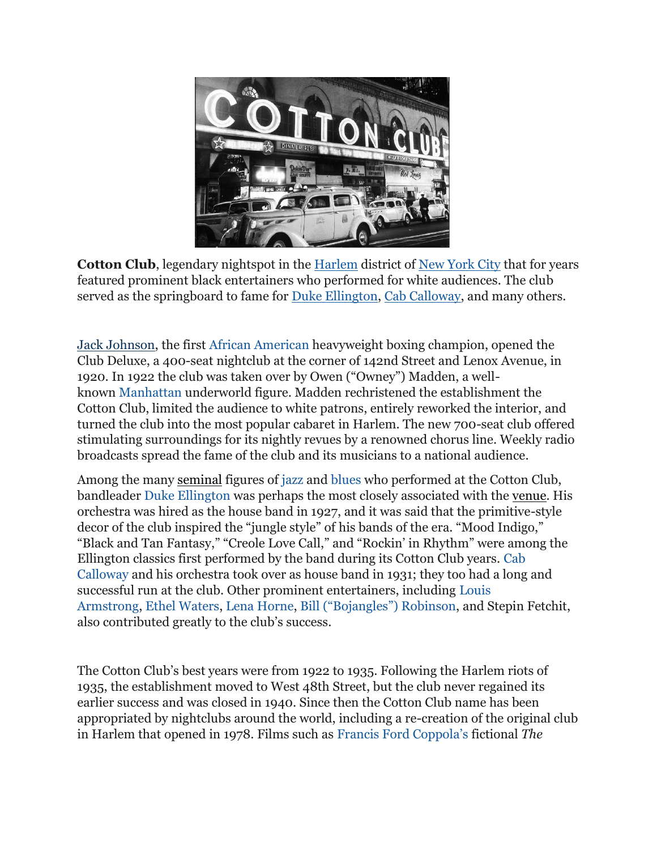

**Cotton Club**, legendary nightspot in the [Harlem](https://www.britannica.com/place/Harlem-New-York) district of [New York City](https://www.britannica.com/place/New-York-City) that for years featured prominent black entertainers who performed for white audiences. The club served as the springboard to fame for [Duke Ellington,](https://www.britannica.com/biography/Duke-Ellington) [Cab Calloway,](https://www.britannica.com/biography/Cab-Calloway) and many others.

[Jack Johnson,](https://www.britannica.com/biography/Jack-Johnson) the first [African American](https://www.britannica.com/topic/African-American) heavyweight boxing champion, opened the Club Deluxe, a 400-seat nightclub at the corner of 142nd Street and Lenox Avenue, in 1920. In 1922 the club was taken over by Owen ("Owney") Madden, a wellknown [Manhattan](https://www.britannica.com/place/Manhattan-New-York-City) underworld figure. Madden rechristened the establishment the Cotton Club, limited the audience to white patrons, entirely reworked the interior, and turned the club into the most popular cabaret in Harlem. The new 700-seat club offered stimulating surroundings for its nightly revues by a renowned chorus line. Weekly radio broadcasts spread the fame of the club and its musicians to a national audience.

Among the many [seminal](https://www.merriam-webster.com/dictionary/seminal) figures of [jazz](https://www.britannica.com/art/jazz) and [blues](https://www.britannica.com/art/blues-music) who performed at the Cotton Club, bandleader [Duke Ellington](https://www.britannica.com/biography/Duke-Ellington) was perhaps the most closely associated with the [venue.](https://www.merriam-webster.com/dictionary/venue) His orchestra was hired as the house band in 1927, and it was said that the primitive-style decor of the club inspired the "jungle style" of his bands of the era. "Mood Indigo," "Black and Tan Fantasy," "Creole Love Call," and "Rockin' in Rhythm" were among the Ellington classics first performed by the band during its Cotton Club years. [Cab](https://www.britannica.com/biography/Cab-Calloway)  [Calloway](https://www.britannica.com/biography/Cab-Calloway) and his orchestra took over as house band in 1931; they too had a long and successful run at the club. Other prominent entertainers, including [Louis](https://www.britannica.com/biography/Louis-Armstrong)  [Armstrong,](https://www.britannica.com/biography/Louis-Armstrong) [Ethel Waters,](https://www.britannica.com/biography/Ethel-Waters) [Lena Horne,](https://www.britannica.com/biography/Lena-Horne) [Bill \("Bojangles"\) Robinson](https://www.britannica.com/biography/Bill-Robinson), and Stepin Fetchit, also contributed greatly to the club's success.

The Cotton Club's best years were from 1922 to 1935. Following the Harlem riots of 1935, the establishment moved to West 48th Street, but the club never regained its earlier success and was closed in 1940. Since then the Cotton Club name has been appropriated by nightclubs around the world, including a re-creation of the original club in Harlem that opened in 1978. Films such as [Francis Ford Coppola's](https://www.britannica.com/biography/Francis-Ford-Coppola) fictional *The*